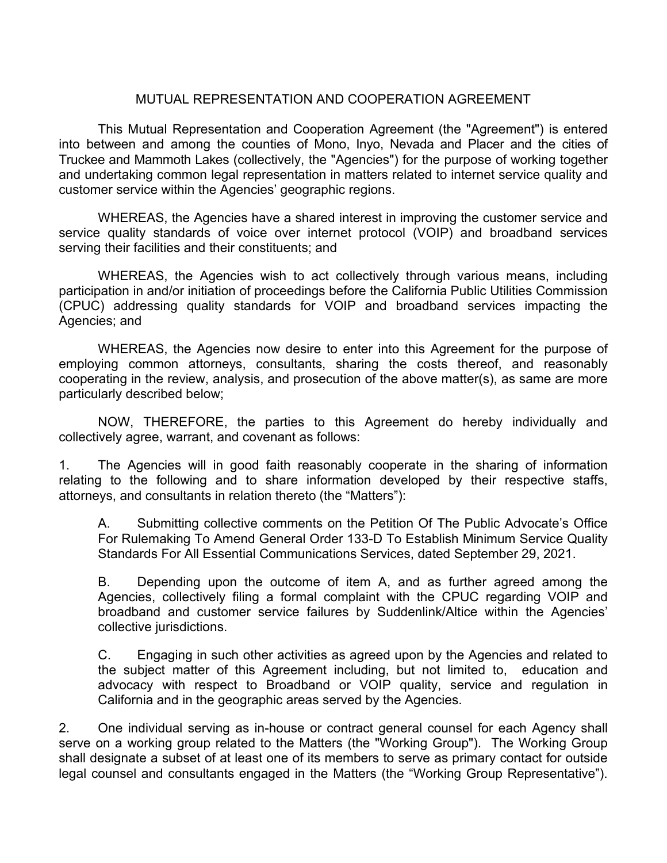## MUTUAL REPRESENTATION AND COOPERATION AGREEMENT

This Mutual Representation and Cooperation Agreement (the "Agreement") is entered into between and among the counties of Mono, Inyo, Nevada and Placer and the cities of Truckee and Mammoth Lakes (collectively, the "Agencies") for the purpose of working together and undertaking common legal representation in matters related to internet service quality and customer service within the Agencies' geographic regions.

WHEREAS, the Agencies have a shared interest in improving the customer service and service quality standards of voice over internet protocol (VOIP) and broadband services serving their facilities and their constituents; and

WHEREAS, the Agencies wish to act collectively through various means, including participation in and/or initiation of proceedings before the California Public Utilities Commission (CPUC) addressing quality standards for VOIP and broadband services impacting the Agencies; and

WHEREAS, the Agencies now desire to enter into this Agreement for the purpose of employing common attorneys, consultants, sharing the costs thereof, and reasonably cooperating in the review, analysis, and prosecution of the above matter(s), as same are more particularly described below;

NOW, THEREFORE, the parties to this Agreement do hereby individually and collectively agree, warrant, and covenant as follows:

1. The Agencies will in good faith reasonably cooperate in the sharing of information relating to the following and to share information developed by their respective staffs, attorneys, and consultants in relation thereto (the "Matters"):

A. Submitting collective comments on the Petition Of The Public Advocate's Office For Rulemaking To Amend General Order 133-D To Establish Minimum Service Quality Standards For All Essential Communications Services, dated September 29, 2021.

B. Depending upon the outcome of item A, and as further agreed among the Agencies, collectively filing a formal complaint with the CPUC regarding VOIP and broadband and customer service failures by Suddenlink/Altice within the Agencies' collective jurisdictions.

C. Engaging in such other activities as agreed upon by the Agencies and related to the subject matter of this Agreement including, but not limited to, education and advocacy with respect to Broadband or VOIP quality, service and regulation in California and in the geographic areas served by the Agencies.

2. One individual serving as in-house or contract general counsel for each Agency shall serve on a working group related to the Matters (the "Working Group"). The Working Group shall designate a subset of at least one of its members to serve as primary contact for outside legal counsel and consultants engaged in the Matters (the "Working Group Representative").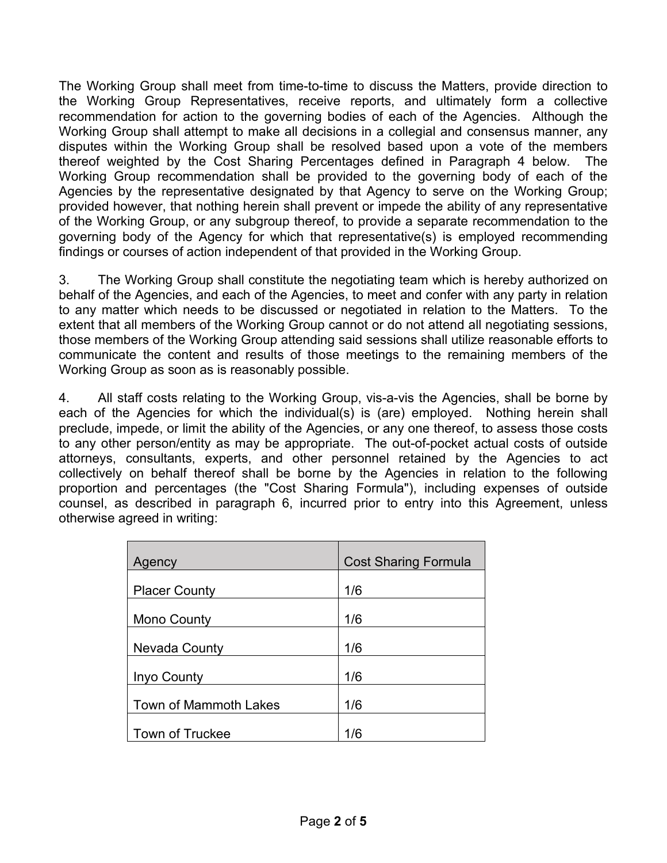The Working Group shall meet from time-to-time to discuss the Matters, provide direction to the Working Group Representatives, receive reports, and ultimately form a collective recommendation for action to the governing bodies of each of the Agencies. Although the Working Group shall attempt to make all decisions in a collegial and consensus manner, any disputes within the Working Group shall be resolved based upon a vote of the members thereof weighted by the Cost Sharing Percentages defined in Paragraph 4 below. The Working Group recommendation shall be provided to the governing body of each of the Agencies by the representative designated by that Agency to serve on the Working Group; provided however, that nothing herein shall prevent or impede the ability of any representative of the Working Group, or any subgroup thereof, to provide a separate recommendation to the governing body of the Agency for which that representative(s) is employed recommending findings or courses of action independent of that provided in the Working Group.

3. The Working Group shall constitute the negotiating team which is hereby authorized on behalf of the Agencies, and each of the Agencies, to meet and confer with any party in relation to any matter which needs to be discussed or negotiated in relation to the Matters. To the extent that all members of the Working Group cannot or do not attend all negotiating sessions, those members of the Working Group attending said sessions shall utilize reasonable efforts to communicate the content and results of those meetings to the remaining members of the Working Group as soon as is reasonably possible.

4. All staff costs relating to the Working Group, vis-a-vis the Agencies, shall be borne by each of the Agencies for which the individual(s) is (are) employed. Nothing herein shall preclude, impede, or limit the ability of the Agencies, or any one thereof, to assess those costs to any other person/entity as may be appropriate. The out-of-pocket actual costs of outside attorneys, consultants, experts, and other personnel retained by the Agencies to act collectively on behalf thereof shall be borne by the Agencies in relation to the following proportion and percentages (the "Cost Sharing Formula"), including expenses of outside counsel, as described in paragraph 6, incurred prior to entry into this Agreement, unless otherwise agreed in writing:

| Agency                 | <b>Cost Sharing Formula</b> |
|------------------------|-----------------------------|
| <b>Placer County</b>   | 1/6                         |
| <b>Mono County</b>     | 1/6                         |
| Nevada County          | 1/6                         |
| Inyo County            | 1/6                         |
| Town of Mammoth Lakes  | 1/6                         |
| <b>Town of Truckee</b> | 1/6                         |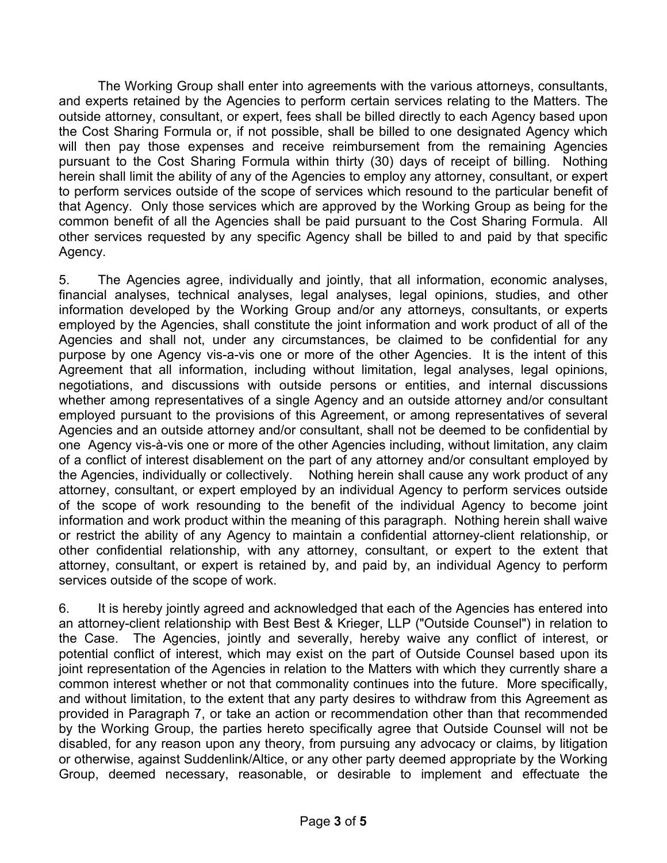The Working Group shall enter into agreements with the various attorneys, consultants, and experts retained by the Agencies to perform certain services relating to the Matters. The outside attorney, consultant, or expert, fees shall be billed directly to each Agency based upon the Cost Sharing Formula or, if not possible, shall be billed to one designated Agency which will then pay those expenses and receive reimbursement from the remaining Agencies pursuant to the Cost Sharing Formula within thirty (30) days of receipt of billing. Nothing herein shall limit the ability of any of the Agencies to employ any attorney, consultant, or expert to perform services outside of the scope of services which resound to the particular benefit of that Agency. Only those services which are approved by the Working Group as being for the common benefit of all the Agencies shall be paid pursuant to the Cost Sharing Formula. All other services requested by any specific Agency shall be billed to and paid by that specific Agency.

5. The Agencies agree, individually and jointly, that all information, economic analyses, financial analyses, technical analyses, legal analyses, legal opinions, studies, and other information developed by the Working Group and/or any attorneys, consultants, or experts employed by the Agencies, shall constitute the joint information and work product of all of the Agencies and shall not, under any circumstances, be claimed to be confidential for any purpose by one Agency vis-a-vis one or more of the other Agencies. It is the intent of this Agreement that all information, including without limitation, legal analyses, legal opinions, negotiations, and discussions with outside persons or entities, and internal discussions whether among representatives of a single Agency and an outside attorney and/or consultant employed pursuant to the provisions of this Agreement, or among representatives of several Agencies and an outside attorney and/or consultant, shall not be deemed to be confidential by one Agency vis-à-vis one or more of the other Agencies including, without limitation, any claim of a conflict of interest disablement on the part of any attorney and/or consultant employed by the Agencies, individually or collectively. Nothing herein shall cause any work product of any attorney, consultant, or expert employed by an individual Agency to perform services outside of the scope of work resounding to the benefit of the individual Agency to become joint information and work product within the meaning of this paragraph. Nothing herein shall waive or restrict the ability of any Agency to maintain a confidential attorney-client relationship, or other confidential relationship, with any attorney, consultant, or expert to the extent that attorney, consultant, or expert is retained by, and paid by, an individual Agency to perform services outside of the scope of work.

6. It is hereby jointly agreed and acknowledged that each of the Agencies has entered into an attorney-client relationship with Best Best & Krieger, LLP ("Outside Counsel") in relation to the Case. The Agencies, jointly and severally, hereby waive any conflict of interest, or potential conflict of interest, which may exist on the part of Outside Counsel based upon its joint representation of the Agencies in relation to the Matters with which they currently share a common interest whether or not that commonality continues into the future. More specifically, and without limitation, to the extent that any party desires to withdraw from this Agreement as provided in Paragraph 7, or take an action or recommendation other than that recommended by the Working Group, the parties hereto specifically agree that Outside Counsel will not be disabled, for any reason upon any theory, from pursuing any advocacy or claims, by litigation or otherwise, against Suddenlink/Altice, or any other party deemed appropriate by the Working Group, deemed necessary, reasonable, or desirable to implement and effectuate the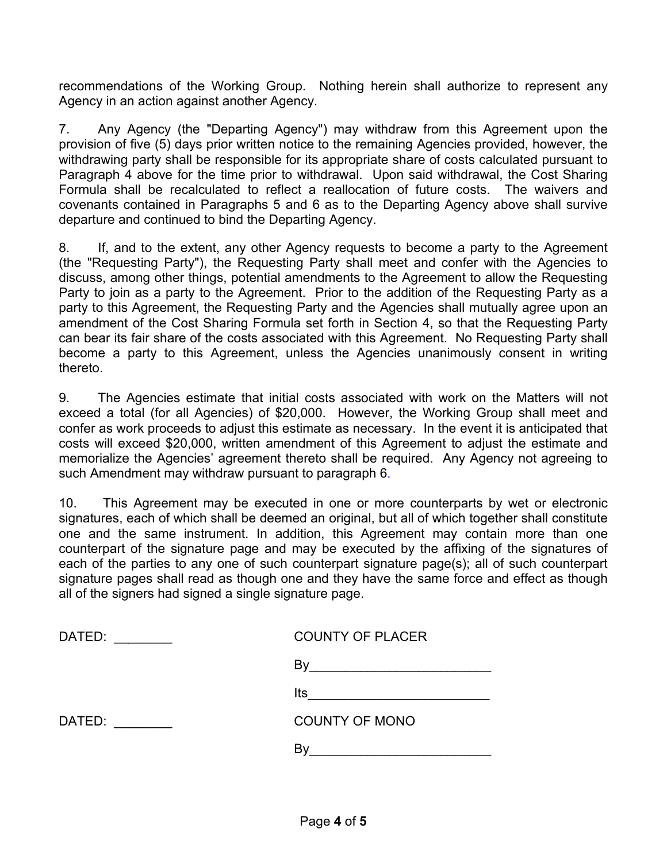recommendations of the Working Group. Nothing herein shall authorize to represent any Agency in an action against another Agency.

7. Any Agency (the "Departing Agency") may withdraw from this Agreement upon the provision of five (5) days prior written notice to the remaining Agencies provided, however, the withdrawing party shall be responsible for its appropriate share of costs calculated pursuant to Paragraph 4 above for the time prior to withdrawal. Upon said withdrawal, the Cost Sharing Formula shall be recalculated to reflect a reallocation of future costs. The waivers and covenants contained in Paragraphs 5 and 6 as to the Departing Agency above shall survive departure and continued to bind the Departing Agency.

8. If, and to the extent, any other Agency requests to become a party to the Agreement (the "Requesting Party"), the Requesting Party shall meet and confer with the Agencies to discuss, among other things, potential amendments to the Agreement to allow the Requesting Party to join as a party to the Agreement. Prior to the addition of the Requesting Party as a party to this Agreement, the Requesting Party and the Agencies shall mutually agree upon an amendment of the Cost Sharing Formula set forth in Section 4, so that the Requesting Party can bear its fair share of the costs associated with this Agreement. No Requesting Party shall become a party to this Agreement, unless the Agencies unanimously consent in writing thereto.

9. The Agencies estimate that initial costs associated with work on the Matters will not exceed a total (for all Agencies) of \$20,000. However, the Working Group shall meet and confer as work proceeds to adjust this estimate as necessary. In the event it is anticipated that costs will exceed \$20,000, written amendment of this Agreement to adjust the estimate and memorialize the Agencies' agreement thereto shall be required. Any Agency not agreeing to such Amendment may withdraw pursuant to paragraph 6.

10. This Agreement may be executed in one or more counterparts by wet or electronic signatures, each of which shall be deemed an original, but all of which together shall constitute one and the same instrument. In addition, this Agreement may contain more than one counterpart of the signature page and may be executed by the affixing of the signatures of each of the parties to any one of such counterpart signature page(s); all of such counterpart signature pages shall read as though one and they have the same force and effect as though all of the signers had signed a single signature page.

| <b>COUNTY OF PLACER</b> |
|-------------------------|
| B٧                      |
| Its                     |
| <b>COUNTY OF MONO</b>   |
|                         |
|                         |